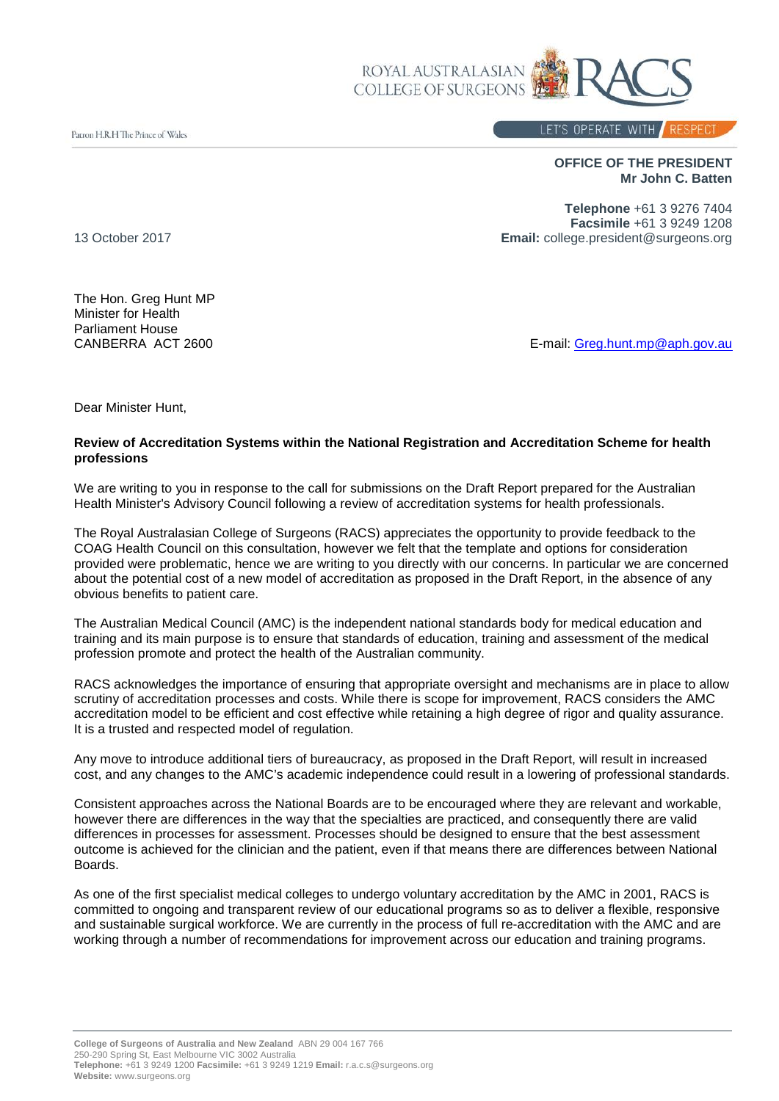

Patron H.R.H The Prince of Wales

## LET'S OPERATE WITH RESPECT

**OFFICE OF THE PRESIDENT Mr John C. Batten**

**Telephone** +61 3 9276 7404 **Facsimile** +61 3 9249 1208 13 October 2017 **Email:** college.president@surgeons.org

The Hon. Greg Hunt MP Minister for Health Parliament House<br>CANBERRA ACT 2600

E-mail: [Greg.hunt.mp@aph.gov.au](mailto:Greg.hunt.mp@aph.gov.au)

Dear Minister Hunt,

## **Review of Accreditation Systems within the National Registration and Accreditation Scheme for health professions**

We are writing to you in response to the call for submissions on the Draft Report prepared for the Australian Health Minister's Advisory Council following a review of accreditation systems for health professionals.

The Royal Australasian College of Surgeons (RACS) appreciates the opportunity to provide feedback to the COAG Health Council on this consultation, however we felt that the template and options for consideration provided were problematic, hence we are writing to you directly with our concerns. In particular we are concerned about the potential cost of a new model of accreditation as proposed in the Draft Report, in the absence of any obvious benefits to patient care.

The Australian Medical Council (AMC) is the independent national standards body for medical education and training and its main purpose is to ensure that standards of education, training and assessment of the medical profession promote and protect the health of the Australian community.

RACS acknowledges the importance of ensuring that appropriate oversight and mechanisms are in place to allow scrutiny of accreditation processes and costs. While there is scope for improvement, RACS considers the AMC accreditation model to be efficient and cost effective while retaining a high degree of rigor and quality assurance. It is a trusted and respected model of regulation.

Any move to introduce additional tiers of bureaucracy, as proposed in the Draft Report, will result in increased cost, and any changes to the AMC's academic independence could result in a lowering of professional standards.

Consistent approaches across the National Boards are to be encouraged where they are relevant and workable, however there are differences in the way that the specialties are practiced, and consequently there are valid differences in processes for assessment. Processes should be designed to ensure that the best assessment outcome is achieved for the clinician and the patient, even if that means there are differences between National Boards.

As one of the first specialist medical colleges to undergo voluntary accreditation by the AMC in 2001, RACS is committed to ongoing and transparent review of our educational programs so as to deliver a flexible, responsive and sustainable surgical workforce. We are currently in the process of full re-accreditation with the AMC and are working through a number of recommendations for improvement across our education and training programs.